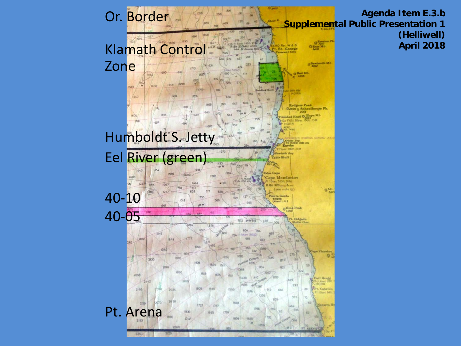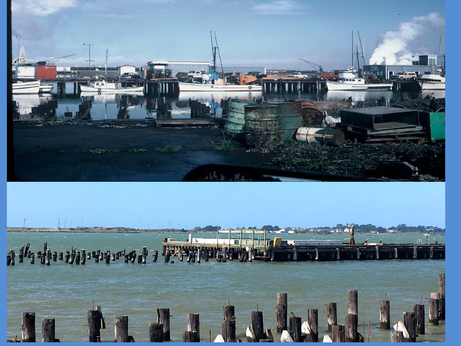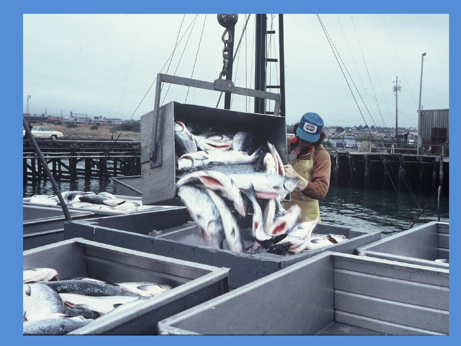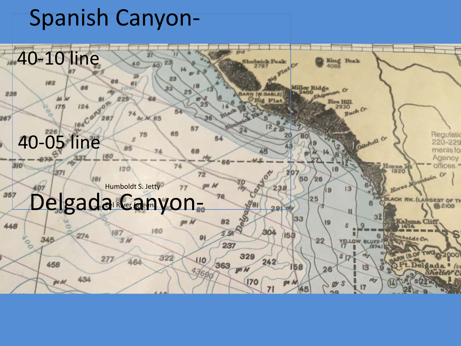## Spanish Canyon-